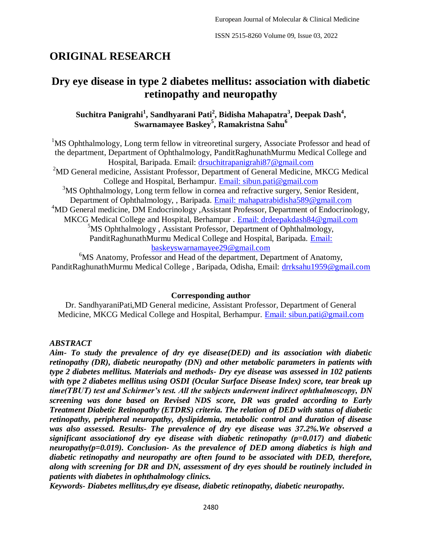# **ORIGINAL RESEARCH**

## **Dry eye disease in type 2 diabetes mellitus: association with diabetic retinopathy and neuropathy**

## **Suchitra Panigrahi<sup>1</sup> , Sandhyarani Pati<sup>2</sup> , Bidisha Mahapatra<sup>3</sup> , Deepak Dash<sup>4</sup> , Swarnamayee Baskey<sup>5</sup> , Ramakristna Sahu<sup>6</sup>**

<sup>1</sup>MS Ophthalmology, Long term fellow in vitreoretinal surgery, Associate Professor and head of the department, Department of Ophthalmology, PanditRaghunathMurmu Medical College and Hospital, Baripada. Email: [drsuchitrapanigrahi87@gmail.com](mailto:drsuchitrapanigrahi87@gmail.com) <sup>2</sup>MD General medicine, Assistant Professor, Department of General Medicine, MKCG Medical College and Hospital, Berhampur. [Email: sibun.pati@gmail.com](mailto:Email:%20sibun.pati@gmail.com)  $3$ MS Ophthalmology, Long term fellow in cornea and refractive surgery, Senior Resident, Department of Ophthalmology, , Baripada. [Email: mahapatrabidisha589@gmail.com](mailto:Email:%20mahapatrabidisha589@gmail.com) <sup>4</sup>MD General medicine, DM Endocrinology, Assistant Professor, Department of Endocrinology, MKCG Medical College and Hospital, Berhampur . [Email: drdeepakdash84@gmail.com](mailto:Email:%20drdeepakdash84@gmail.com)  $5$ MS Ophthalmology, Assistant Professor, Department of Ophthalmology, PanditRaghunathMurmu Medical College and Hospital, Baripada. [Email:](mailto:Email:%20baskeyswarnamayee29@gmail.com)  [baskeyswarnamayee29@gmail.com](mailto:Email:%20baskeyswarnamayee29@gmail.com)

<sup>6</sup>MS Anatomy, Professor and Head of the department, Department of Anatomy, PanditRaghunathMurmu Medical College , Baripada, Odisha, Email: [drrksahu1959@gmail.com](mailto:drrksahu1959@gmail.com)

#### **Corresponding author**

Dr. SandhyaraniPati,MD General medicine, Assistant Professor, Department of General Medicine, MKCG Medical College and Hospital, Berhampur. [Email: sibun.pati@gmail.com](mailto:Email:%20sibun.pati@gmail.com)

## *ABSTRACT*

*Aim- To study the prevalence of dry eye disease(DED) and its association with diabetic retinopathy (DR), diabetic neuropathy (DN) and other metabolic parameters in patients with type 2 diabetes mellitus. Materials and methods- Dry eye disease was assessed in 102 patients with type 2 diabetes mellitus using OSDI (Ocular Surface Disease Index) score, tear break up time(TBUT) test and Schirmer's test. All the subjects underwent indirect ophthalmoscopy, DN screening was done based on Revised NDS score, DR was graded according to Early Treatment Diabetic Retinopathy (ETDRS) criteria. The relation of DED with status of diabetic retinopathy, peripheral neuropathy, dyslipidemia, metabolic control and duration of disease was also assessed. Results- The prevalence of dry eye disease was 37.2%.We observed a significant associationof dry eye disease with diabetic retinopathy (p=0.017) and diabetic neuropathy(p=0.019). Conclusion- As the prevalence of DED among diabetics is high and diabetic retinopathy and neuropathy are often found to be associated with DED, therefore, along with screening for DR and DN, assessment of dry eyes should be routinely included in patients with diabetes in ophthalmology clinics.*

*Keywords- Diabetes mellitus,dry eye disease, diabetic retinopathy, diabetic neuropathy.*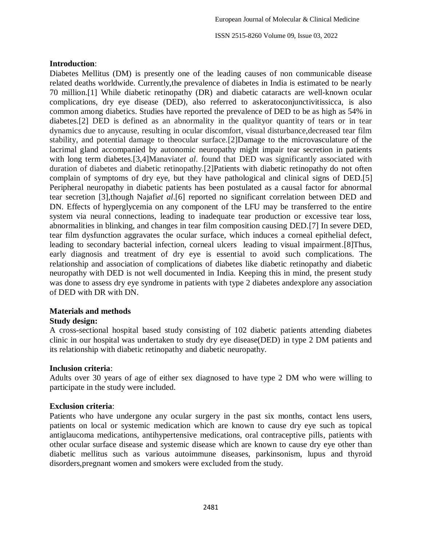## **Introduction**:

Diabetes Mellitus (DM) is presently one of the leading causes of non communicable disease related deaths worldwide. Currently,the prevalence of diabetes in India is estimated to be nearly 70 million.[1] While diabetic retinopathy (DR) and diabetic cataracts are well-known ocular complications, dry eye disease (DED), also referred to askeratoconjunctivitissicca, is also common among diabetics. Studies have reported the prevalence of DED to be as high as 54% in diabetes.[2] DED is defined as an abnormality in the qualityor quantity of tears or in tear dynamics due to anycause, resulting in ocular discomfort, visual disturbance,decreased tear film stability, and potential damage to theocular surface.[2]Damage to the microvasculature of the lacrimal gland accompanied by autonomic neuropathy might impair tear secretion in patients with long term diabetes.[3,4]Manaviat*et al*. found that DED was significantly associated with duration of diabetes and diabetic retinopathy.[2]Patients with diabetic retinopathy do not often complain of symptoms of dry eye, but they have pathological and clinical signs of DED.[5] Peripheral neuropathy in diabetic patients has been postulated as a causal factor for abnormal tear secretion [3],though Najafi*et al*.[6] reported no significant correlation between DED and DN. Effects of hyperglycemia on any component of the LFU may be transferred to the entire system via neural connections, leading to inadequate tear production or excessive tear loss, abnormalities in blinking, and changes in tear film composition causing DED.[7] In severe DED, tear film dysfunction aggravates the ocular surface, which induces a corneal epithelial defect, leading to secondary bacterial infection, corneal ulcers leading to visual impairment.[8]Thus, early diagnosis and treatment of dry eye is essential to avoid such complications. The relationship and association of complications of diabetes like diabetic retinopathy and diabetic neuropathy with DED is not well documented in India. Keeping this in mind, the present study was done to assess dry eye syndrome in patients with type 2 diabetes andexplore any association of DED with DR with DN.

## **Materials and methods**

## **Study design:**

A cross-sectional hospital based study consisting of 102 diabetic patients attending diabetes clinic in our hospital was undertaken to study dry eye disease(DED) in type 2 DM patients and its relationship with diabetic retinopathy and diabetic neuropathy.

## **Inclusion criteria**:

Adults over 30 years of age of either sex diagnosed to have type 2 DM who were willing to participate in the study were included.

## **Exclusion criteria**:

Patients who have undergone any ocular surgery in the past six months, contact lens users, patients on local or systemic medication which are known to cause dry eye such as topical antiglaucoma medications, antihypertensive medications, oral contraceptive pills, patients with other ocular surface disease and systemic disease which are known to cause dry eye other than diabetic mellitus such as various autoimmune diseases, parkinsonism, lupus and thyroid disorders,pregnant women and smokers were excluded from the study.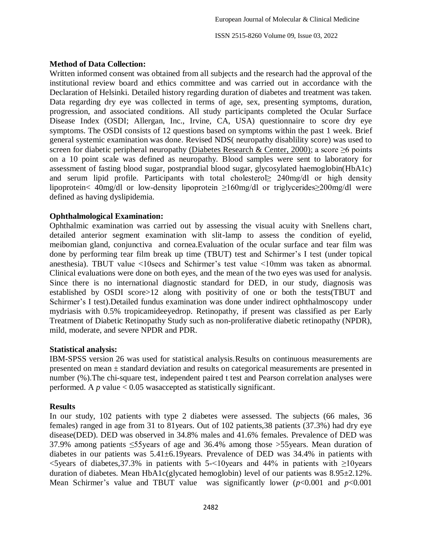## **Method of Data Collection:**

Written informed consent was obtained from all subjects and the research had the approval of the institutional review board and ethics committee and was carried out in accordance with the Declaration of Helsinki. Detailed history regarding duration of diabetes and treatment was taken. Data regarding dry eye was collected in terms of age, sex, presenting symptoms, duration, progression, and associated conditions. All study participants completed the Ocular Surface Disease Index (OSDI; Allergan, Inc., Irvine, CA, USA) questionnaire to score dry eye symptoms. The OSDI consists of 12 questions based on symptoms within the past 1 week. Brief general systemic examination was done. Revised NDS( neuropathy disablility score) was used to screen for diabetic peripheral neuropathy (Diabetes Research & Center, 2000); a score  $\geq 6$  points on a 10 point scale was defined as neuropathy. Blood samples were sent to laboratory for assessment of fasting blood sugar, postprandial blood sugar, glycosylated haemoglobin(HbA1c) and serum lipid profile. Participants with total cholesterol $\geq$  240mg/dl or high density lipoprotein< 40mg/dl or low-density lipoprotein ≥160mg/dl or triglycerides≥200mg/dl were defined as having dyslipidemia.

## **Ophthalmological Examination:**

Ophthalmic examination was carried out by assessing the visual acuity with Snellens chart, detailed anterior segment examination with slit-lamp to assess the condition of eyelid, meibomian gland, conjunctiva and cornea.Evaluation of the ocular surface and tear film was done by performing tear film break up time (TBUT) test and Schirmer"s I test (under topical anesthesia). TBUT value <10secs and Schirmer"s test value <10mm was taken as abnormal. Clinical evaluations were done on both eyes, and the mean of the two eyes was used for analysis. Since there is no international diagnostic standard for DED, in our study, diagnosis was established by OSDI score>12 along with positivity of one or both the tests(TBUT and Schirmer's I test).Detailed fundus examination was done under indirect ophthalmoscopy under mydriasis with 0.5% tropicamideeyedrop. Retinopathy, if present was classified as per Early Treatment of Diabetic Retinopathy Study such as non-proliferative diabetic retinopathy (NPDR), mild, moderate, and severe NPDR and PDR.

## **Statistical analysis:**

IBM-SPSS version 26 was used for statistical analysis.Results on continuous measurements are presented on mean ± standard deviation and results on categorical measurements are presented in number (%).The chi-square test, independent paired t test and Pearson correlation analyses were performed. A  $p$  value  $< 0.05$  was accepted as statistically significant.

## **Results**

In our study, 102 patients with type 2 diabetes were assessed. The subjects (66 males, 36 females) ranged in age from 31 to 81years. Out of 102 patients,38 patients (37.3%) had dry eye disease(DED). DED was observed in 34.8% males and 41.6% females. Prevalence of DED was 37.9% among patients ≤55years of age and 36.4% among those >55years. Mean duration of diabetes in our patients was 5.41±6.19years. Prevalence of DED was 34.4% in patients with  $\le$ 5 years of diabetes, 37.3% in patients with 5 $\le$ 10 years and 44% in patients with  $\ge$ 10 years duration of diabetes. Mean HbA1c(glycated hemoglobin) level of our patients was 8.95±2.12%. Mean Schirmer's value and TBUT value was significantly lower  $(p<0.001$  and  $p<0.001$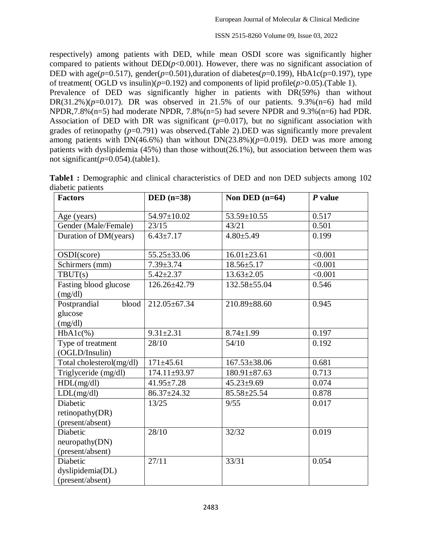respectively) among patients with DED, while mean OSDI score was significantly higher compared to patients without  $DED(p<0.001)$ . However, there was no significant association of DED with age( $p=0.517$ ), gender( $p=0.501$ ),duration of diabetes( $p=0.199$ ), HbA1c( $p=0.197$ ), type of treatment( OGLD vs insulin)( $p=0.192$ ) and components of lipid profile( $p>0.05$ ).(Table 1). Prevalence of DED was significantly higher in patients with DR(59%) than without DR(31.2%)( $p=0.017$ ). DR was observed in 21.5% of our patients. 9.3%( $n=6$ ) had mild NPDR,7.8%(n=5) had moderate NPDR, 7.8%(n=5) had severe NPDR and  $9.3\%$ (n=6) had PDR. Association of DED with DR was significant (*p*=0.017), but no significant association with grades of retinopathy  $(p=0.791)$  was observed. (Table 2). DED was significantly more prevalent among patients with DN(46.6%) than without DN(23.8%)( $p=0.019$ ). DED was more among patients with dyslipidemia (45%) than those without(26.1%), but association between them was not significant( $p=0.054$ ).(table1).

| <b>Factors</b>                                   | $DED (n=38)$      | Non DED $(n=64)$   | $P$ value |
|--------------------------------------------------|-------------------|--------------------|-----------|
| Age (years)                                      | 54.97±10.02       | 53.59±10.55        | 0.517     |
| Gender (Male/Female)                             | 23/15             | 43/21              | 0.501     |
| Duration of DM(years)                            | $6.43 \pm 7.17$   | $4.80 \pm 5.49$    | 0.199     |
| OSDI(score)                                      | $55.25 \pm 33.06$ | $16.01 \pm 23.61$  | < 0.001   |
| Schirmers (mm)                                   | $7.39 \pm 3.74$   | $18.56 \pm 5.17$   | < 0.001   |
| $T$ BUT $(s)$                                    | $5.42 \pm 2.37$   | $13.63 \pm 2.05$   | < 0.001   |
| <b>Fasting blood glucose</b><br>(mg/dl)          | 126.26±42.79      | 132.58±55.04       | 0.546     |
| Postprandial<br>blood<br>glucose<br>(mg/dl)      | 212.05±67.34      | 210.89±88.60       | 0.945     |
| $HbA1c(\%)$                                      | $9.31 \pm 2.31$   | $8.74 \pm 1.99$    | 0.197     |
| Type of treatment<br>(OGLD/Insulin)              | 28/10             | 54/10              | 0.192     |
| Total cholesterol(mg/dl)                         | $171 \pm 45.61$   | $167.53 \pm 38.06$ | 0.681     |
| Triglyceride (mg/dl)                             | 174.11±93.97      | $180.91 \pm 87.63$ | 0.713     |
| HDL(mg/dl)                                       | $41.95 \pm 7.28$  | $45.23 \pm 9.69$   | 0.074     |
| LDL(mg/dl)                                       | 86.37±24.32       | 85.58±25.54        | 0.878     |
| Diabetic<br>retinopathy(DR)<br>(present/absent)  | 13/25             | 9/55               | 0.017     |
| Diabetic<br>neuropathy(DN)<br>(present/absent)   | 28/10             | 32/32              | 0.019     |
| Diabetic<br>dyslipidemia(DL)<br>(present/absent) | 27/11             | 33/31              | 0.054     |

**Table1 :** Demographic and clinical characteristics of DED and non DED subjects among 102 diabetic patients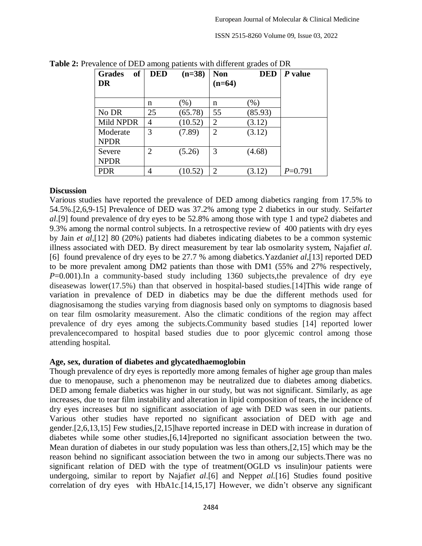| <b>of</b><br><b>Grades</b> | <b>DED</b>     | $(n=38)$ | <b>Non</b>     | <b>DED</b> | P value   |
|----------------------------|----------------|----------|----------------|------------|-----------|
| DR                         |                |          | $(n=64)$       |            |           |
|                            |                |          |                |            |           |
|                            | n              | (% )     | n              | $(\%)$     |           |
| No DR                      | 25             | (65.78)  | 55             | (85.93)    |           |
| Mild NPDR                  | 4              | (10.52)  | 2              | (3.12)     |           |
| Moderate                   | 3              | (7.89)   | $\overline{2}$ | (3.12)     |           |
| <b>NPDR</b>                |                |          |                |            |           |
| Severe                     | $\overline{2}$ | (5.26)   | 3              | (4.68)     |           |
| <b>NPDR</b>                |                |          |                |            |           |
| <b>PDR</b>                 | 4              | (10.52)  | $\overline{2}$ | (3.12)     | $P=0.791$ |

Table 2: Prevalence of DED among patients with different grades of DR

#### **Discussion**

Various studies have reported the prevalence of DED among diabetics ranging from 17.5% to 54.5%.[2,6,9-15] Prevalence of DED was 37.2% among type 2 diabetics in our study. Seifart*et al*.[9] found prevalence of dry eyes to be 52.8% among those with type 1 and type2 diabetes and 9.3% among the normal control subjects. In a retrospective review of 400 patients with dry eyes by Jain *et al*,[12] 80 (20%) patients had diabetes indicating diabetes to be a common systemic illness associated with DED. By direct measurement by tear lab osmolarity system, Najafi*et al*. [6] found prevalence of dry eyes to be 27.7 % among diabetics.Yazdani*et al*,[13] reported DED to be more prevalent among DM2 patients than those with DM1 (55% and 27% respectively, *P*=0.001). In a community-based study including 1360 subjects, the prevalence of dry eye diseasewas lower(17.5%) than that observed in hospital-based studies.[14]This wide range of variation in prevalence of DED in diabetics may be due the different methods used for diagnosisamong the studies varying from diagnosis based only on symptoms to diagnosis based on tear film osmolarity measurement. Also the climatic conditions of the region may affect prevalence of dry eyes among the subjects.Community based studies [14] reported lower prevalencecompared to hospital based studies due to poor glycemic control among those attending hospital.

## **Age, sex, duration of diabetes and glycatedhaemoglobin**

Though prevalence of dry eyes is reportedly more among females of higher age group than males due to menopause, such a phenomenon may be neutralized due to diabetes among diabetics. DED among female diabetics was higher in our study, but was not significant. Similarly, as age increases, due to tear film instability and alteration in lipid composition of tears, the incidence of dry eyes increases but no significant association of age with DED was seen in our patients. Various other studies have reported no significant association of DED with age and gender.[2,6,13,15] Few studies,[2,15]have reported increase in DED with increase in duration of diabetes while some other studies,[6,14]reported no significant association between the two. Mean duration of diabetes in our study population was less than others,[2,15] which may be the reason behind no significant association between the two in among our subjects.There was no significant relation of DED with the type of treatment(OGLD vs insulin)our patients were undergoing, similar to report by Najafi*et al*.[6] and Nepp*et al.*[16] Studies found positive correlation of dry eyes with HbA1c.<sup>[14,15,17]</sup> However, we didn't observe any significant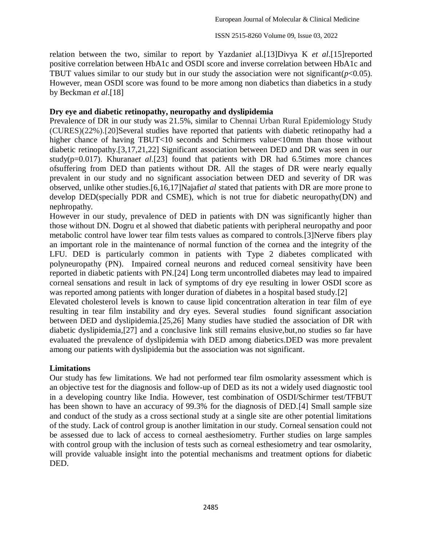relation between the two, similar to report by Yazdani*et* al.[13]Divya K *et al*.[15]reported positive correlation between HbA1c and OSDI score and inverse correlation between HbA1c and TBUT values similar to our study but in our study the association were not significant( $p<0.05$ ). However, mean OSDI score was found to be more among non diabetics than diabetics in a study by Beckman *et al*.[18]

## **Dry eye and diabetic retinopathy, neuropathy and dyslipidemia**

Prevalence of DR in our study was 21.5%, similar to Chennai Urban Rural Epidemiology Study (CURES)(22%).[20]Several studies have reported that patients with diabetic retinopathy had a higher chance of having TBUT<10 seconds and Schirmers value<10mm than those without diabetic retinopathy.[3,17,21,22] Significant association between DED and DR was seen in our study(p=0.017). Khurana*et al*.[23] found that patients with DR had 6.5times more chances ofsuffering from DED than patients without DR. All the stages of DR were nearly equally prevalent in our study and no significant association between DED and severity of DR was observed, unlike other studies.[6,16,17]Najafi*et al* stated that patients with DR are more prone to develop DED(specially PDR and CSME), which is not true for diabetic neuropathy(DN) and nephropathy.

However in our study, prevalence of DED in patients with DN was significantly higher than those without DN. Dogru et al showed that diabetic patients with peripheral neuropathy and poor metabolic control have lower tear film tests values as compared to controls.[3]Nerve fibers play an important role in the maintenance of normal function of the cornea and the integrity of the LFU. DED is particularly common in patients with Type 2 diabetes complicated with polyneuropathy (PN). Impaired corneal neurons and reduced corneal sensitivity have been reported in diabetic patients with PN.[24] Long term uncontrolled diabetes may lead to impaired corneal sensations and result in lack of symptoms of dry eye resulting in lower OSDI score as was reported among patients with longer duration of diabetes in a hospital based study.[2]

Elevated cholesterol levels is known to cause lipid concentration alteration in tear film of eye resulting in tear film instability and dry eyes. Several studies found significant association between DED and dyslipidemia.[25,26] Many studies have studied the association of DR with diabetic dyslipidemia,[27] and a conclusive link still remains elusive,but,no studies so far have evaluated the prevalence of dyslipidemia with DED among diabetics.DED was more prevalent among our patients with dyslipidemia but the association was not significant.

## **Limitations**

Our study has few limitations. We had not performed tear film osmolarity assessment which is an objective test for the diagnosis and follow-up of DED as its not a widely used diagnostic tool in a developing country like India. However, test combination of OSDI/Schirmer test/TFBUT has been shown to have an accuracy of 99.3% for the diagnosis of DED.[4] Small sample size and conduct of the study as a cross sectional study at a single site are other potential limitations of the study. Lack of control group is another limitation in our study. Corneal sensation could not be assessed due to lack of access to corneal aesthesiometry. Further studies on large samples with control group with the inclusion of tests such as corneal esthesiometry and tear osmolarity, will provide valuable insight into the potential mechanisms and treatment options for diabetic DED.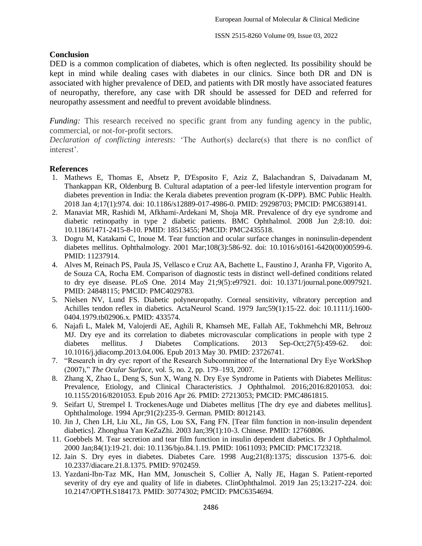## **Conclusion**

DED is a common complication of diabetes, which is often neglected. Its possibility should be kept in mind while dealing cases with diabetes in our clinics. Since both DR and DN is associated with higher prevalence of DED, and patients with DR mostly have associated features of neuropathy, therefore, any case with DR should be assessed for DED and referred for neuropathy assessment and needful to prevent avoidable blindness.

*Funding:* This research received no specific grant from any funding agency in the public, commercial, or not-for-profit sectors.

*Declaration of conflicting interests:* "The Author(s) declare(s) that there is no conflict of interest".

## **References**

- 1. Mathews E, Thomas E, Absetz P, D'Esposito F, Aziz Z, Balachandran S, Daivadanam M, Thankappan KR, Oldenburg B. Cultural adaptation of a peer-led lifestyle intervention program for diabetes prevention in India: the Kerala diabetes prevention program (K-DPP). BMC Public Health. 2018 Jan 4;17(1):974. doi: 10.1186/s12889-017-4986-0. PMID: 29298703; PMCID: PMC6389141.
- 2. Manaviat MR, Rashidi M, Afkhami-Ardekani M, Shoja MR. Prevalence of dry eye syndrome and diabetic retinopathy in type 2 diabetic patients. BMC Ophthalmol. 2008 Jun 2;8:10. doi: 10.1186/1471-2415-8-10. PMID: 18513455; PMCID: PMC2435518.
- 3. Dogru M, Katakami C, Inoue M. Tear function and ocular surface changes in noninsulin-dependent diabetes mellitus. Ophthalmology. 2001 Mar;108(3):586-92. doi: 10.1016/s0161-6420(00)00599-6. PMID: 11237914.
- 4. Alves M, Reinach PS, Paula JS, Vellasco e Cruz AA, Bachette L, Faustino J, Aranha FP, Vigorito A, de Souza CA, Rocha EM. Comparison of diagnostic tests in distinct well-defined conditions related to dry eye disease. PLoS One. 2014 May 21;9(5):e97921. doi: 10.1371/journal.pone.0097921. PMID: 24848115; PMCID: PMC4029783.
- 5. Nielsen NV, Lund FS. Diabetic polyneuropathy. Corneal sensitivity, vibratory perception and Achilles tendon reflex in diabetics. ActaNeurol Scand. 1979 Jan;59(1):15-22. doi: 10.1111/j.1600- 0404.1979.tb02906.x. PMID: 433574.
- 6. Najafi L, Malek M, Valojerdi AE, Aghili R, Khamseh ME, Fallah AE, Tokhmehchi MR, Behrouz MJ. Dry eye and its correlation to diabetes microvascular complications in people with type 2 diabetes mellitus. J Diabetes Complications. 2013 Sep-Oct;27(5):459-62. doi: 10.1016/j.jdiacomp.2013.04.006. Epub 2013 May 30. PMID: 23726741.
- 7. "Research in dry eye: report of the Research Subcommittee of the International Dry Eye WorkShop (2007)," *The Ocular Surface*, vol. 5, no. 2, pp. 179–193, 2007.
- 8. Zhang X, Zhao L, Deng S, Sun X, Wang N. Dry Eye Syndrome in Patients with Diabetes Mellitus: Prevalence, Etiology, and Clinical Characteristics. J Ophthalmol. 2016;2016:8201053. doi: 10.1155/2016/8201053. Epub 2016 Apr 26. PMID: 27213053; PMCID: PMC4861815.
- 9. Seifart U, Strempel I. TrockenesAuge und Diabetes mellitus [The dry eye and diabetes mellitus]. Ophthalmologe. 1994 Apr;91(2):235-9. German. PMID: 8012143.
- 10. Jin J, Chen LH, Liu XL, Jin GS, Lou SX, Fang FN. [Tear film function in non-insulin dependent diabetics]. Zhonghua Yan KeZaZhi. 2003 Jan;39(1):10-3. Chinese. PMID: 12760806.
- 11. Goebbels M. Tear secretion and tear film function in insulin dependent diabetics. Br J Ophthalmol. 2000 Jan;84(1):19-21. doi: 10.1136/bjo.84.1.19. PMID: 10611093; PMCID: PMC1723218.
- 12. Jain S. Dry eyes in diabetes. Diabetes Care. 1998 Aug;21(8):1375; disscusion 1375-6. doi: 10.2337/diacare.21.8.1375. PMID: 9702459.
- 13. Yazdani-Ibn-Taz MK, Han MM, Jonuscheit S, Collier A, Nally JE, Hagan S. Patient-reported severity of dry eye and quality of life in diabetes. ClinOphthalmol. 2019 Jan 25;13:217-224. doi: 10.2147/OPTH.S184173. PMID: 30774302; PMCID: PMC6354694.